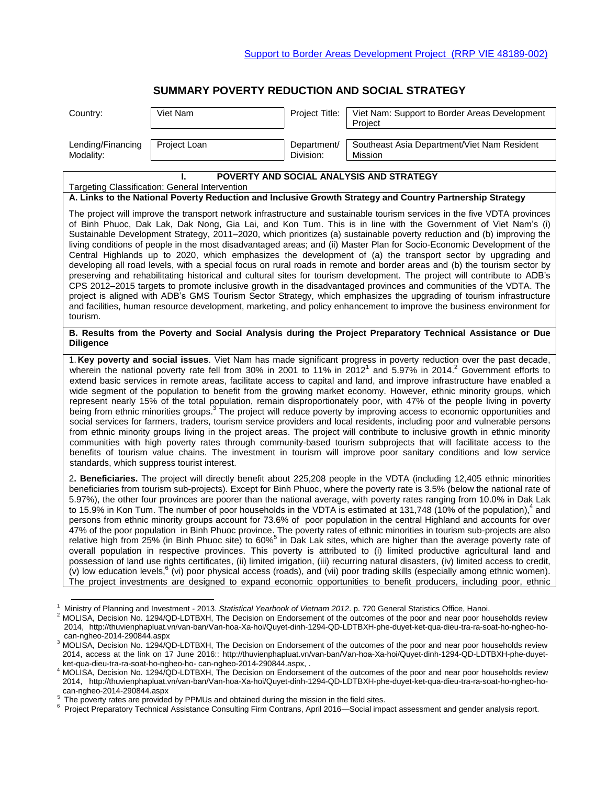# **SUMMARY POVERTY REDUCTION AND SOCIAL STRATEGY**

| Country:          | Viet Nam     | Project Title: | Viet Nam: Support to Border Areas Development<br>Project |
|-------------------|--------------|----------------|----------------------------------------------------------|
| Lending/Financing | Project Loan | Department/    | Southeast Asia Department/Viet Nam Resident              |
| Modality:         |              | Division:      | Mission                                                  |

| POVERTY AND SOCIAL ANALYSIS AND STRATEGY                                                                                                                                                                                                                                                                                                                                                                                                                                                                                                                                                                                                                                                                                                                                                                                                                                                                                                                                                                                                                                                                                                                                                                                                                                                                                                                                                                                                                    |  |  |  |
|-------------------------------------------------------------------------------------------------------------------------------------------------------------------------------------------------------------------------------------------------------------------------------------------------------------------------------------------------------------------------------------------------------------------------------------------------------------------------------------------------------------------------------------------------------------------------------------------------------------------------------------------------------------------------------------------------------------------------------------------------------------------------------------------------------------------------------------------------------------------------------------------------------------------------------------------------------------------------------------------------------------------------------------------------------------------------------------------------------------------------------------------------------------------------------------------------------------------------------------------------------------------------------------------------------------------------------------------------------------------------------------------------------------------------------------------------------------|--|--|--|
| Targeting Classification: General Intervention                                                                                                                                                                                                                                                                                                                                                                                                                                                                                                                                                                                                                                                                                                                                                                                                                                                                                                                                                                                                                                                                                                                                                                                                                                                                                                                                                                                                              |  |  |  |
| A. Links to the National Poverty Reduction and Inclusive Growth Strategy and Country Partnership Strategy                                                                                                                                                                                                                                                                                                                                                                                                                                                                                                                                                                                                                                                                                                                                                                                                                                                                                                                                                                                                                                                                                                                                                                                                                                                                                                                                                   |  |  |  |
| The project will improve the transport network infrastructure and sustainable tourism services in the five VDTA provinces<br>of Binh Phuoc, Dak Lak, Dak Nong, Gia Lai, and Kon Tum. This is in line with the Government of Viet Nam's (i)<br>Sustainable Development Strategy, 2011–2020, which prioritizes (a) sustainable poverty reduction and (b) improving the<br>living conditions of people in the most disadvantaged areas; and (ii) Master Plan for Socio-Economic Development of the<br>Central Highlands up to 2020, which emphasizes the development of (a) the transport sector by upgrading and<br>developing all road levels, with a special focus on rural roads in remote and border areas and (b) the tourism sector by<br>preserving and rehabilitating historical and cultural sites for tourism development. The project will contribute to ADB's<br>CPS 2012-2015 targets to promote inclusive growth in the disadvantaged provinces and communities of the VDTA. The<br>project is aligned with ADB's GMS Tourism Sector Strategy, which emphasizes the upgrading of tourism infrastructure<br>and facilities, human resource development, marketing, and policy enhancement to improve the business environment for<br>tourism.                                                                                                                                                                                                    |  |  |  |
| B. Results from the Poverty and Social Analysis during the Project Preparatory Technical Assistance or Due<br><b>Diligence</b>                                                                                                                                                                                                                                                                                                                                                                                                                                                                                                                                                                                                                                                                                                                                                                                                                                                                                                                                                                                                                                                                                                                                                                                                                                                                                                                              |  |  |  |
| 1. Key poverty and social issues. Viet Nam has made significant progress in poverty reduction over the past decade,<br>wherein the national poverty rate fell from 30% in 2001 to 11% in 2012 <sup>1</sup> and 5.97% in 2014. <sup>2</sup> Government efforts to<br>extend basic services in remote areas, facilitate access to capital and land, and improve infrastructure have enabled a<br>wide segment of the population to benefit from the growing market economy. However, ethnic minority groups, which<br>represent nearly 15% of the total population, remain disproportionately poor, with 47% of the people living in poverty<br>being from ethnic minorities groups. <sup>3</sup> The project will reduce poverty by improving access to economic opportunities and<br>social services for farmers, traders, tourism service providers and local residents, including poor and vulnerable persons<br>from ethnic minority groups living in the project areas. The project will contribute to inclusive growth in ethnic minority<br>communities with high poverty rates through community-based tourism subprojects that will facilitate access to the<br>benefits of tourism value chains. The investment in tourism will improve poor sanitary conditions and low service<br>standards, which suppress tourist interest.                                                                                                                    |  |  |  |
| 2. Beneficiaries. The project will directly benefit about 225,208 people in the VDTA (including 12,405 ethnic minorities<br>beneficiaries from tourism sub-projects). Except for Binh Phuoc, where the poverty rate is 3.5% (below the national rate of<br>5.97%), the other four provinces are poorer than the national average, with poverty rates ranging from 10.0% in Dak Lak<br>to 15.9% in Kon Tum. The number of poor households in the VDTA is estimated at 131,748 (10% of the population), <sup>4</sup> and<br>persons from ethnic minority groups account for 73.6% of poor population in the central Highland and accounts for over<br>47% of the poor population in Binh Phuoc province. The poverty rates of ethnic minorities in tourism sub-projects are also<br>relative high from 25% (in Binh Phuoc site) to 60% <sup>5</sup> in Dak Lak sites, which are higher than the average poverty rate of<br>overall population in respective provinces. This poverty is attributed to (i) limited productive agricultural land and<br>possession of land use rights certificates, (ii) limited irrigation, (iii) recurring natural disasters, (iv) limited access to credit,<br>(v) low education levels, <sup>6</sup> (vi) poor physical access (roads), and (vii) poor trading skills (especially among ethnic women).<br>The project investments are designed to expand economic opportunities to benefit producers, including poor, ethnic |  |  |  |

 $\overline{a}$ 

<sup>1</sup> Ministry of Planning and Investment - 2013. *Statistical Yearbook of Vietnam 2012*. p. 720 General Statistics Office, Hanoi.

<sup>2</sup> MOLISA, Decision No. 1294/QD-LDTBXH, The Decision on Endorsement of the outcomes of the poor and near poor households review 2014, http://thuvienphapluat.vn/van-ban/Van-hoa-Xa-hoi/Quyet-dinh-1294-QD-LDTBXH-phe-duyet-ket-qua-dieu-tra-ra-soat-ho-ngheo-hocan-ngheo-2014-290844.aspx

<sup>&</sup>lt;sup>3</sup> MOLISA, Decision No. 1294/QD-LDTBXH, The Decision on Endorsement of the outcomes of the poor and near poor households review 2014, access at the link on 17 June 2016:: http://thuvienphapluat.vn/van-ban/Van-hoa-Xa-hoi/Quyet-dinh-1294-QD-LDTBXH-phe-duyetket-qua-dieu-tra-ra-soat-ho-ngheo-ho- can-ngheo-2014-290844.aspx, .

A MOLISA, Decision No. 1294/QD-LDTBXH, The Decision on Endorsement of the outcomes of the poor and near poor households review 2014, http://thuvienphapluat.vn/van-ban/Van-hoa-Xa-hoi/Quyet-dinh-1294-QD-LDTBXH-phe-duyet-ket-qua-dieu-tra-ra-soat-ho-ngheo-ho-

can-ngheo-2014-290844.aspx<br><sup>5</sup> The poverty rates are provided by PPMUs and obtained during the mission in the field sites.

<sup>&</sup>lt;sup>6</sup> Project Preparatory Technical Assistance Consulting Firm Contrans, April 2016—Social impact assessment and gender analysis report.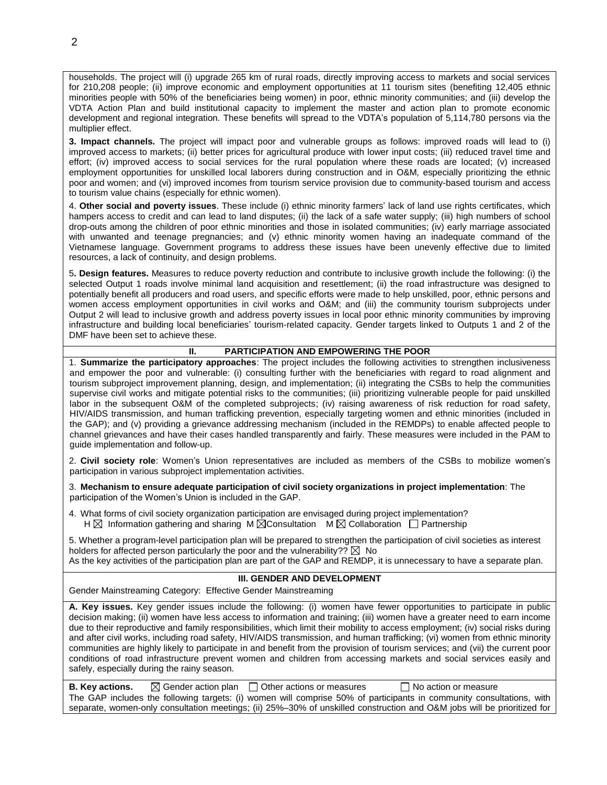households. The project will (i) upgrade 265 km of rural roads, directly improving access to markets and social services for 210,208 people; (ii) improve economic and employment opportunities at 11 tourism sites (benefiting 12,405 ethnic minorities people with 50% of the beneficiaries being women) in poor, ethnic minority communities; and (iii) develop the VDTA Action Plan and build institutional capacity to implement the master and action plan to promote economic development and regional integration. These benefits will spread to the VDTA's population of 5,114,780 persons via the multiplier effect.

**3. Impact channels.** The project will impact poor and vulnerable groups as follows: improved roads will lead to (i) improved access to markets; (ii) better prices for agricultural produce with lower input costs; (iii) reduced travel time and effort; (iv) improved access to social services for the rural population where these roads are located; (v) increased employment opportunities for unskilled local laborers during construction and in O&M, especially prioritizing the ethnic poor and women; and (vi) improved incomes from tourism service provision due to community-based tourism and access to tourism value chains (especially for ethnic women).

4. **Other social and poverty issues**. These include (i) ethnic minority farmers' lack of land use rights certificates, which hampers access to credit and can lead to land disputes; (ii) the lack of a safe water supply; (iii) high numbers of school drop-outs among the children of poor ethnic minorities and those in isolated communities; (iv) early marriage associated with unwanted and teenage pregnancies; and (v) ethnic minority women having an inadequate command of the Vietnamese language. Government programs to address these issues have been unevenly effective due to limited resources, a lack of continuity, and design problems.

5**. Design features.** Measures to reduce poverty reduction and contribute to inclusive growth include the following: (i) the selected Output 1 roads involve minimal land acquisition and resettlement; (ii) the road infrastructure was designed to potentially benefit all producers and road users, and specific efforts were made to help unskilled, poor, ethnic persons and women access employment opportunities in civil works and O&M; and (iii) the community tourism subprojects under Output 2 will lead to inclusive growth and address poverty issues in local poor ethnic minority communities by improving infrastructure and building local beneficiaries' tourism-related capacity. Gender targets linked to Outputs 1 and 2 of the DMF have been set to achieve these.

## **II. PARTICIPATION AND EMPOWERING THE POOR**

1. **Summarize the participatory approaches**: The project includes the following activities to strengthen inclusiveness and empower the poor and vulnerable: (i) consulting further with the beneficiaries with regard to road alignment and tourism subproject improvement planning, design, and implementation; (ii) integrating the CSBs to help the communities supervise civil works and mitigate potential risks to the communities; (iii) prioritizing vulnerable people for paid unskilled labor in the subsequent O&M of the completed subprojects; (iv) raising awareness of risk reduction for road safety, HIV/AIDS transmission, and human trafficking prevention, especially targeting women and ethnic minorities (included in the GAP); and (v) providing a grievance addressing mechanism (included in the REMDPs) to enable affected people to channel grievances and have their cases handled transparently and fairly. These measures were included in the PAM to guide implementation and follow-up.

2. **Civil society role**: Women's Union representatives are included as members of the CSBs to mobilize women's participation in various subproject implementation activities.

3. **Mechanism to ensure adequate participation of civil society organizations in project implementation**: The participation of the Women's Union is included in the GAP.

4. What forms of civil society organization participation are envisaged during project implementation?  $H \boxtimes$  Information gathering and sharing M  $\boxtimes$  Consultation M  $\boxtimes$  Collaboration  $\Box$  Partnership

5. Whether a program-level participation plan will be prepared to strengthen the participation of civil societies as interest holders for affected person particularly the poor and the vulnerability??  $\boxtimes$  No As the key activities of the participation plan are part of the GAP and REMDP, it is unnecessary to have a separate plan.

#### **III. GENDER AND DEVELOPMENT**

Gender Mainstreaming Category: Effective Gender Mainstreaming

**A. Key issues.** Key gender issues include the following: (i) women have fewer opportunities to participate in public decision making; (ii) women have less access to information and training; (iii) women have a greater need to earn income due to their reproductive and family responsibilities, which limit their mobility to access employment; (iv) social risks during and after civil works, including road safety, HIV/AIDS transmission, and human trafficking; (vi) women from ethnic minority communities are highly likely to participate in and benefit from the provision of tourism services; and (vii) the current poor conditions of road infrastructure prevent women and children from accessing markets and social services easily and safely, especially during the rainy season.

**B. Key actions.**  $\boxtimes$  Gender action plan  $\Box$  Other actions or measures  $\Box$  No action or measure The GAP includes the following targets: (i) women will comprise 50% of participants in community consultations, with separate, women-only consultation meetings; (ii) 25%–30% of unskilled construction and O&M jobs will be prioritized for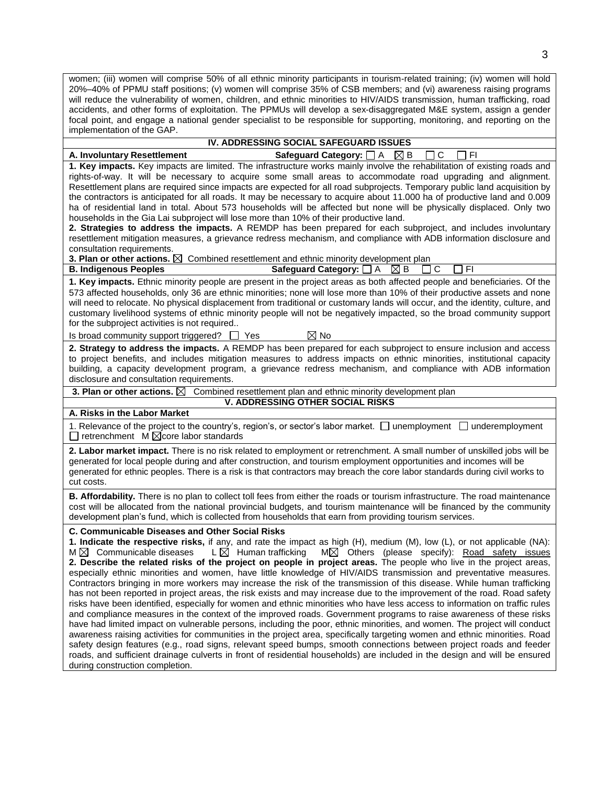women; (iii) women will comprise 50% of all ethnic minority participants in tourism-related training; (iv) women will hold 20%–40% of PPMU staff positions; (v) women will comprise 35% of CSB members; and (vi) awareness raising programs will reduce the vulnerability of women, children, and ethnic minorities to HIV/AIDS transmission, human trafficking, road accidents, and other forms of exploitation. The PPMUs will develop a sex-disaggregated M&E system, assign a gender focal point, and engage a national gender specialist to be responsible for supporting, monitoring, and reporting on the implementation of the GAP.

## **IV. ADDRESSING SOCIAL SAFEGUARD ISSUES**

**A. Involuntary Resettlement Safeguard Category:** □ A  $\boxtimes$  B □ C □ FI

**1. Key impacts.** Key impacts are limited. The infrastructure works mainly involve the rehabilitation of existing roads and rights-of-way. It will be necessary to acquire some small areas to accommodate road upgrading and alignment. Resettlement plans are required since impacts are expected for all road subprojects. Temporary public land acquisition by the contractors is anticipated for all roads. It may be necessary to acquire about 11.000 ha of productive land and 0.009 ha of residential land in total. About 573 households will be affected but none will be physically displaced. Only two households in the Gia Lai subproject will lose more than 10% of their productive land.

**2. Strategies to address the impacts.** A REMDP has been prepared for each subproject, and includes involuntary resettlement mitigation measures, a grievance redress mechanism, and compliance with ADB information disclosure and consultation requirements.

**3. Plan or other actions.**  $\boxtimes$  Combined resettlement and ethnic minority development plan

**B. Indigenous Peoples Safeguard Category:**  $\Box$  A  $\boxtimes$  B  $\Box$  C  $\Box$  FI

**1. Key impacts.** Ethnic minority people are present in the project areas as both affected people and beneficiaries. Of the 573 affected households, only 36 are ethnic minorities; none will lose more than 10% of their productive assets and none will need to relocate. No physical displacement from traditional or customary lands will occur, and the identity, culture, and customary livelihood systems of ethnic minority people will not be negatively impacted, so the broad community support for the subproject activities is not required..

Is broad community support triggered?  $\Box$  Yes  $\boxtimes$  No

**2. Strategy to address the impacts.** A REMDP has been prepared for each subproject to ensure inclusion and access to project benefits, and includes mitigation measures to address impacts on ethnic minorities, institutional capacity building, a capacity development program, a grievance redress mechanism, and compliance with ADB information disclosure and consultation requirements.

**3. Plan or other actions.**  $\boxtimes$  Combined resettlement plan and ethnic minority development plan

**V. ADDRESSING OTHER SOCIAL RISKS**

**A. Risks in the Labor Market** 

1. Relevance of the project to the country's, region's, or sector's labor market.  $\Box$  unemployment  $\Box$  underemployment  $\Box$  retrenchment M  $\boxtimes$  core labor standards

**2. Labor market impact.** There is no risk related to employment or retrenchment. A small number of unskilled jobs will be generated for local people during and after construction, and tourism employment opportunities and incomes will be generated for ethnic peoples. There is a risk is that contractors may breach the core labor standards during civil works to cut costs.

**B. Affordability.** There is no plan to collect toll fees from either the roads or tourism infrastructure. The road maintenance cost will be allocated from the national provincial budgets, and tourism maintenance will be financed by the community development plan's fund, which is collected from households that earn from providing tourism services.

**C. Communicable Diseases and Other Social Risks** 

**1. Indicate the respective risks,** if any, and rate the impact as high (H), medium (M), low (L), or not applicable (NA):  $M \boxtimes$  Communicable diseases L $\boxtimes$  Human trafficking M $\boxtimes$  Others (please specify): Road safety issues **2. Describe the related risks of the project on people in project areas.** The people who live in the project areas, especially ethnic minorities and women, have little knowledge of HIV/AIDS transmission and preventative measures. Contractors bringing in more workers may increase the risk of the transmission of this disease. While human trafficking has not been reported in project areas, the risk exists and may increase due to the improvement of the road. Road safety risks have been identified, especially for women and ethnic minorities who have less access to information on traffic rules and compliance measures in the context of the improved roads. Government programs to raise awareness of these risks have had limited impact on vulnerable persons, including the poor, ethnic minorities, and women. The project will conduct awareness raising activities for communities in the project area, specifically targeting women and ethnic minorities. Road safety design features (e.g., road signs, relevant speed bumps, smooth connections between project roads and feeder roads, and sufficient drainage culverts in front of residential households) are included in the design and will be ensured during construction completion.